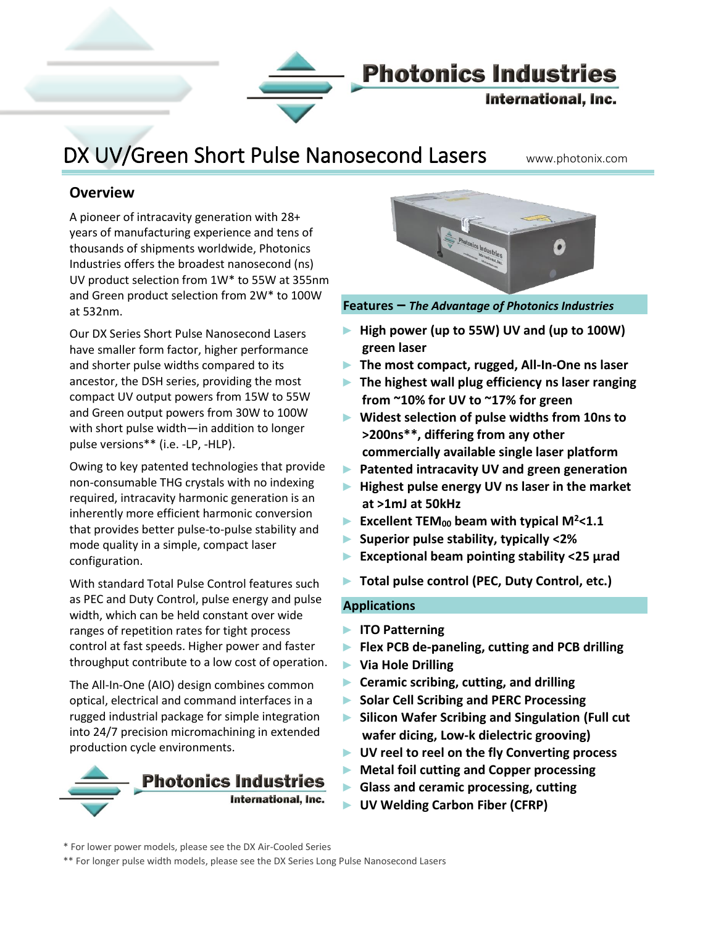

### DX UV/Green Short Pulse Nanosecond Lasers www.photonix.com

#### **Overview**

Į

A pioneer of intracavity generation with 28+ years of manufacturing experience and tens of thousands of shipments worldwide, Photonics Industries offers the broadest nanosecond (ns) UV product selection from 1W\* to 55W at 355nm and Green product selection from 2W\* to 100W at 532nm.

Our DX Series Short Pulse Nanosecond Lasers have smaller form factor, higher performance and shorter pulse widths compared to its ancestor, the DSH series, providing the most compact UV output powers from 15W to 55W and Green output powers from 30W to 100W with short pulse width—in addition to longer pulse versions\*\* (i.e. -LP, -HLP).

Owing to key patented technologies that provide non-consumable THG crystals with no indexing required, intracavity harmonic generation is an inherently more efficient harmonic conversion that provides better pulse-to-pulse stability and mode quality in a simple, compact laser configuration.

With standard Total Pulse Control features such as PEC and Duty Control, pulse energy and pulse width, which can be held constant over wide ranges of repetition rates for tight process control at fast speeds. Higher power and faster throughput contribute to a low cost of operation.

The All-In-One (AIO) design combines common optical, electrical and command interfaces in a rugged industrial package for simple integration into 24/7 precision micromachining in extended production cycle environments.





**Features –** *The Advantage of Photonics Industries*

- ► **High power (up to 55W) UV and (up to 100W) green laser**
- ► **The most compact, rugged, All-In-One ns laser**
- ► **The highest wall plug efficiency ns laser ranging from ~10% for UV to ~17% for green**
- ► **Widest selection of pulse widths from 10ns to >200ns\*\*, differing from any other commercially available single laser platform**
- ► **Patented intracavity UV and green generation**
- ► **Highest pulse energy UV ns laser in the market at >1mJ at 50kHz**
- ► **Excellent TEM<sup>00</sup> beam with typical M<sup>2</sup><1.1**
- ► **Superior pulse stability, typically <2%**
- ► **Exceptional beam pointing stability <25 μrad**
- ► **Total pulse control (PEC, Duty Control, etc.)**

#### **Applications**

- ► **ITO Patterning**
- ► **Flex PCB de-paneling, cutting and PCB drilling**
- ► **Via Hole Drilling**
- ► **Ceramic scribing, cutting, and drilling**
- ► **Solar Cell Scribing and PERC Processing**
- ► **Silicon Wafer Scribing and Singulation (Full cut wafer dicing, Low-k dielectric grooving)**
- ► **UV reel to reel on the fly Converting process**
- ► **Metal foil cutting and Copper processing**
- ► **Glass and ceramic processing, cutting**
- ► **UV Welding Carbon Fiber (CFRP)**

\*\* For longer pulse width models, please see the DX Series Long Pulse Nanosecond Lasers

<sup>\*</sup> For lower power models, please see the DX Air-Cooled Series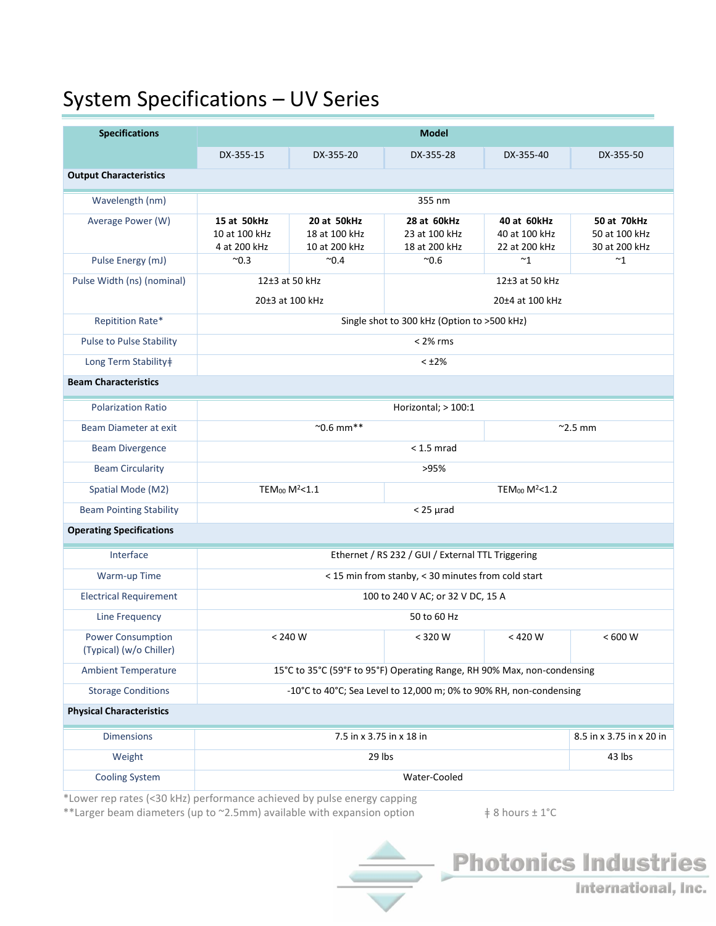## System Specifications – UV Series

| <b>Specifications</b>                               | <b>Model</b>                                                            |                                               |                                               |                                               |                                               |  |  |  |  |  |
|-----------------------------------------------------|-------------------------------------------------------------------------|-----------------------------------------------|-----------------------------------------------|-----------------------------------------------|-----------------------------------------------|--|--|--|--|--|
|                                                     | DX-355-15                                                               | DX-355-20                                     | DX-355-28                                     | DX-355-40                                     | DX-355-50                                     |  |  |  |  |  |
| <b>Output Characteristics</b>                       |                                                                         |                                               |                                               |                                               |                                               |  |  |  |  |  |
| Wavelength (nm)                                     | 355 nm                                                                  |                                               |                                               |                                               |                                               |  |  |  |  |  |
| Average Power (W)                                   | 15 at 50kHz<br>10 at 100 kHz<br>4 at 200 kHz                            | 20 at 50kHz<br>18 at 100 kHz<br>10 at 200 kHz | 28 at 60kHz<br>23 at 100 kHz<br>18 at 200 kHz | 40 at 60kHz<br>40 at 100 kHz<br>22 at 200 kHz | 50 at 70kHz<br>50 at 100 kHz<br>30 at 200 kHz |  |  |  |  |  |
| Pulse Energy (mJ)                                   | $^{\sim}0.3$                                                            | $^{\sim}$ 0.4                                 | $^{\sim}0.6$                                  | $~^{\sim}1$                                   | $~^{\sim}1$                                   |  |  |  |  |  |
| Pulse Width (ns) (nominal)                          | 12±3 at 50 kHz<br>12±3 at 50 kHz<br>20±3 at 100 kHz<br>20±4 at 100 kHz  |                                               |                                               |                                               |                                               |  |  |  |  |  |
| Repitition Rate*                                    | Single shot to 300 kHz (Option to >500 kHz)                             |                                               |                                               |                                               |                                               |  |  |  |  |  |
| <b>Pulse to Pulse Stability</b>                     | $< 2\%$ rms                                                             |                                               |                                               |                                               |                                               |  |  |  |  |  |
| Long Term Stability‡                                | $< 12\%$                                                                |                                               |                                               |                                               |                                               |  |  |  |  |  |
| <b>Beam Characteristics</b>                         |                                                                         |                                               |                                               |                                               |                                               |  |  |  |  |  |
| <b>Polarization Ratio</b>                           | Horizontal; > 100:1                                                     |                                               |                                               |                                               |                                               |  |  |  |  |  |
| Beam Diameter at exit                               | $^{\sim}$ 0.6 mm**<br>$^{\sim}$ 2.5 mm                                  |                                               |                                               |                                               |                                               |  |  |  |  |  |
| <b>Beam Divergence</b>                              | $< 1.5$ mrad                                                            |                                               |                                               |                                               |                                               |  |  |  |  |  |
| <b>Beam Circularity</b>                             | >95%                                                                    |                                               |                                               |                                               |                                               |  |  |  |  |  |
| Spatial Mode (M2)                                   | TEM <sub>00</sub> $M^2$ <1.1                                            |                                               |                                               | TEM <sub>00</sub> M <sup>2</sup> <1.2         |                                               |  |  |  |  |  |
| <b>Beam Pointing Stability</b>                      | $<$ 25 $\mu$ rad                                                        |                                               |                                               |                                               |                                               |  |  |  |  |  |
| <b>Operating Specifications</b>                     |                                                                         |                                               |                                               |                                               |                                               |  |  |  |  |  |
| Interface                                           | Ethernet / RS 232 / GUI / External TTL Triggering                       |                                               |                                               |                                               |                                               |  |  |  |  |  |
| Warm-up Time                                        | < 15 min from stanby, < 30 minutes from cold start                      |                                               |                                               |                                               |                                               |  |  |  |  |  |
| <b>Electrical Requirement</b>                       | 100 to 240 V AC; or 32 V DC, 15 A                                       |                                               |                                               |                                               |                                               |  |  |  |  |  |
| Line Frequency                                      | 50 to 60 Hz                                                             |                                               |                                               |                                               |                                               |  |  |  |  |  |
| <b>Power Consumption</b><br>(Typical) (w/o Chiller) |                                                                         | $< 240 W$                                     | < 320 W                                       | $< 420 W$                                     | < 600 W                                       |  |  |  |  |  |
| <b>Ambient Temperature</b>                          | 15°C to 35°C (59°F to 95°F) Operating Range, RH 90% Max, non-condensing |                                               |                                               |                                               |                                               |  |  |  |  |  |
| <b>Storage Conditions</b>                           | -10°C to 40°C; Sea Level to 12,000 m; 0% to 90% RH, non-condensing      |                                               |                                               |                                               |                                               |  |  |  |  |  |
| <b>Physical Characteristics</b>                     |                                                                         |                                               |                                               |                                               |                                               |  |  |  |  |  |
| <b>Dimensions</b>                                   |                                                                         | 8.5 in x 3.75 in x 20 in                      |                                               |                                               |                                               |  |  |  |  |  |
| Weight                                              |                                                                         | 43 lbs                                        |                                               |                                               |                                               |  |  |  |  |  |
| <b>Cooling System</b>                               | Water-Cooled                                                            |                                               |                                               |                                               |                                               |  |  |  |  |  |

\*Lower rep rates (<30 kHz) performance achieved by pulse energy capping

\*\*Larger beam diameters (up to ~2.5mm) available with expansion option  $\qquad$   $\qquad$   $\qquad$   $\qquad$   $\qquad$  8 hours  $\pm$  1°C



International, Inc.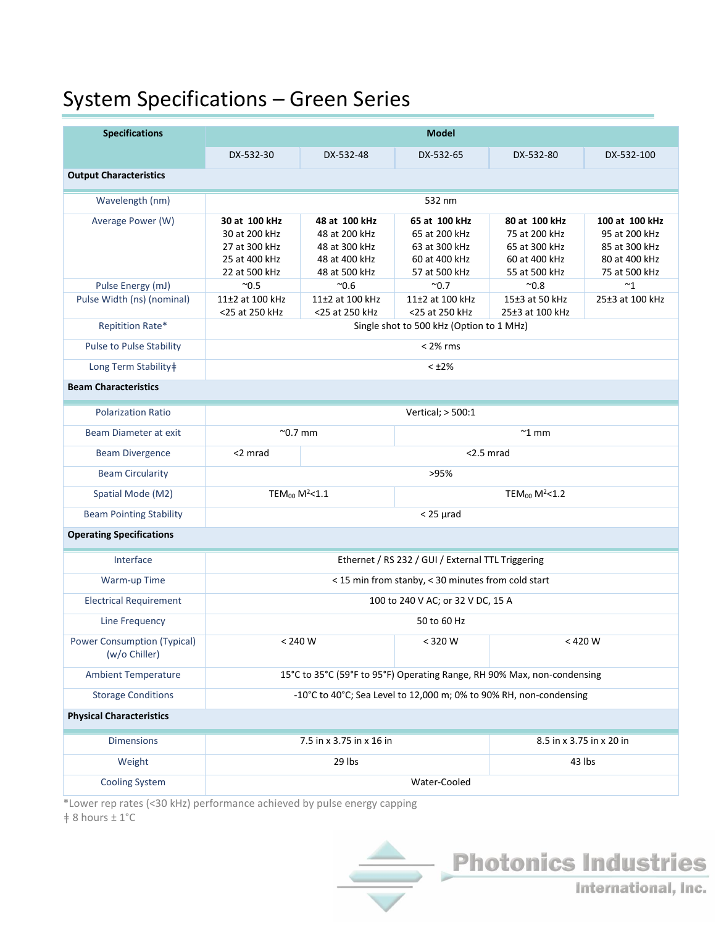## System Specifications – Green Series

| <b>Specifications</b>                               | <b>Model</b>                                                            |                                |                                        |                                |                                |  |  |  |
|-----------------------------------------------------|-------------------------------------------------------------------------|--------------------------------|----------------------------------------|--------------------------------|--------------------------------|--|--|--|
|                                                     | DX-532-30                                                               | DX-532-48                      | DX-532-65                              | DX-532-80                      | DX-532-100                     |  |  |  |
| <b>Output Characteristics</b>                       |                                                                         |                                |                                        |                                |                                |  |  |  |
| Wavelength (nm)                                     | 532 nm                                                                  |                                |                                        |                                |                                |  |  |  |
| Average Power (W)                                   | 30 at 100 kHz                                                           | 48 at 100 kHz                  | 65 at 100 kHz                          | 80 at 100 kHz                  | 100 at 100 kHz                 |  |  |  |
|                                                     | 30 at 200 kHz                                                           | 48 at 200 kHz                  | 65 at 200 kHz                          | 75 at 200 kHz                  | 95 at 200 kHz                  |  |  |  |
|                                                     | 27 at 300 kHz                                                           | 48 at 300 kHz                  | 63 at 300 kHz                          | 65 at 300 kHz                  | 85 at 300 kHz                  |  |  |  |
|                                                     | 25 at 400 kHz<br>22 at 500 kHz                                          | 48 at 400 kHz<br>48 at 500 kHz | 60 at 400 kHz<br>57 at 500 kHz         | 60 at 400 kHz<br>55 at 500 kHz | 80 at 400 kHz<br>75 at 500 kHz |  |  |  |
| Pulse Energy (mJ)                                   | $^{\sim}0.5$                                                            | $^{\sim}0.6$                   | $^{\sim}$ 0.7                          | $^{\sim}0.8$                   | ~1                             |  |  |  |
| Pulse Width (ns) (nominal)                          | 11±2 at 100 kHz                                                         | 11±2 at 100 kHz                | 11±2 at 100 kHz                        | 15±3 at 50 kHz                 | 25±3 at 100 kHz                |  |  |  |
|                                                     | <25 at 250 kHz                                                          | <25 at 250 kHz                 | <25 at 250 kHz                         | 25±3 at 100 kHz                |                                |  |  |  |
| Repitition Rate*                                    | Single shot to 500 kHz (Option to 1 MHz)                                |                                |                                        |                                |                                |  |  |  |
| <b>Pulse to Pulse Stability</b>                     | $< 2\%$ rms                                                             |                                |                                        |                                |                                |  |  |  |
| Long Term Stability‡                                | $< +2\%$                                                                |                                |                                        |                                |                                |  |  |  |
| <b>Beam Characteristics</b>                         |                                                                         |                                |                                        |                                |                                |  |  |  |
| <b>Polarization Ratio</b>                           | Vertical; > 500:1                                                       |                                |                                        |                                |                                |  |  |  |
| Beam Diameter at exit                               | $^{\sim}$ 0.7 mm                                                        |                                | $~^{\sim}$ 1 mm                        |                                |                                |  |  |  |
| <b>Beam Divergence</b>                              | <2 mrad<br>$<$ 2.5 mrad                                                 |                                |                                        |                                |                                |  |  |  |
| <b>Beam Circularity</b>                             | >95%                                                                    |                                |                                        |                                |                                |  |  |  |
| Spatial Mode (M2)                                   | TEM <sub>00</sub> M <sup>2</sup> <1.1                                   |                                | TEM <sub>00</sub> M <sup>2</sup> < 1.2 |                                |                                |  |  |  |
| <b>Beam Pointing Stability</b>                      | $<$ 25 $\mu$ rad                                                        |                                |                                        |                                |                                |  |  |  |
| <b>Operating Specifications</b>                     |                                                                         |                                |                                        |                                |                                |  |  |  |
| Interface                                           | Ethernet / RS 232 / GUI / External TTL Triggering                       |                                |                                        |                                |                                |  |  |  |
| Warm-up Time                                        | < 15 min from stanby, < 30 minutes from cold start                      |                                |                                        |                                |                                |  |  |  |
| <b>Electrical Requirement</b>                       | 100 to 240 V AC; or 32 V DC, 15 A                                       |                                |                                        |                                |                                |  |  |  |
| Line Frequency                                      | 50 to 60 Hz                                                             |                                |                                        |                                |                                |  |  |  |
| <b>Power Consumption (Typical)</b><br>(w/o Chiller) | $< 240 W$                                                               |                                | < 320 W                                | $< 420 W$                      |                                |  |  |  |
| <b>Ambient Temperature</b>                          | 15°C to 35°C (59°F to 95°F) Operating Range, RH 90% Max, non-condensing |                                |                                        |                                |                                |  |  |  |
| <b>Storage Conditions</b>                           | -10°C to 40°C; Sea Level to 12,000 m; 0% to 90% RH, non-condensing      |                                |                                        |                                |                                |  |  |  |
| <b>Physical Characteristics</b>                     |                                                                         |                                |                                        |                                |                                |  |  |  |
| <b>Dimensions</b>                                   | 7.5 in x 3.75 in x 16 in                                                |                                |                                        | 8.5 in x 3.75 in x 20 in       |                                |  |  |  |
| Weight                                              | 29 lbs                                                                  |                                |                                        | 43 lbs                         |                                |  |  |  |
| <b>Cooling System</b>                               | Water-Cooled                                                            |                                |                                        |                                |                                |  |  |  |

\*Lower rep rates (<30 kHz) performance achieved by pulse energy capping

 $\ddagger$  8 hours  $\pm$  1°C



International, Inc.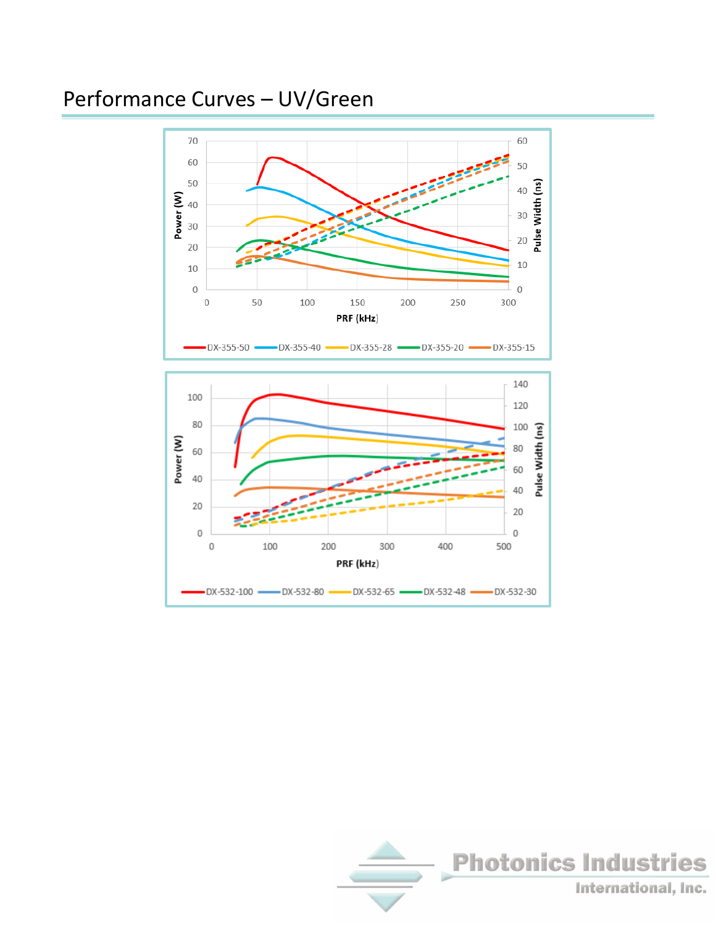# Performance Curves – UV/Green